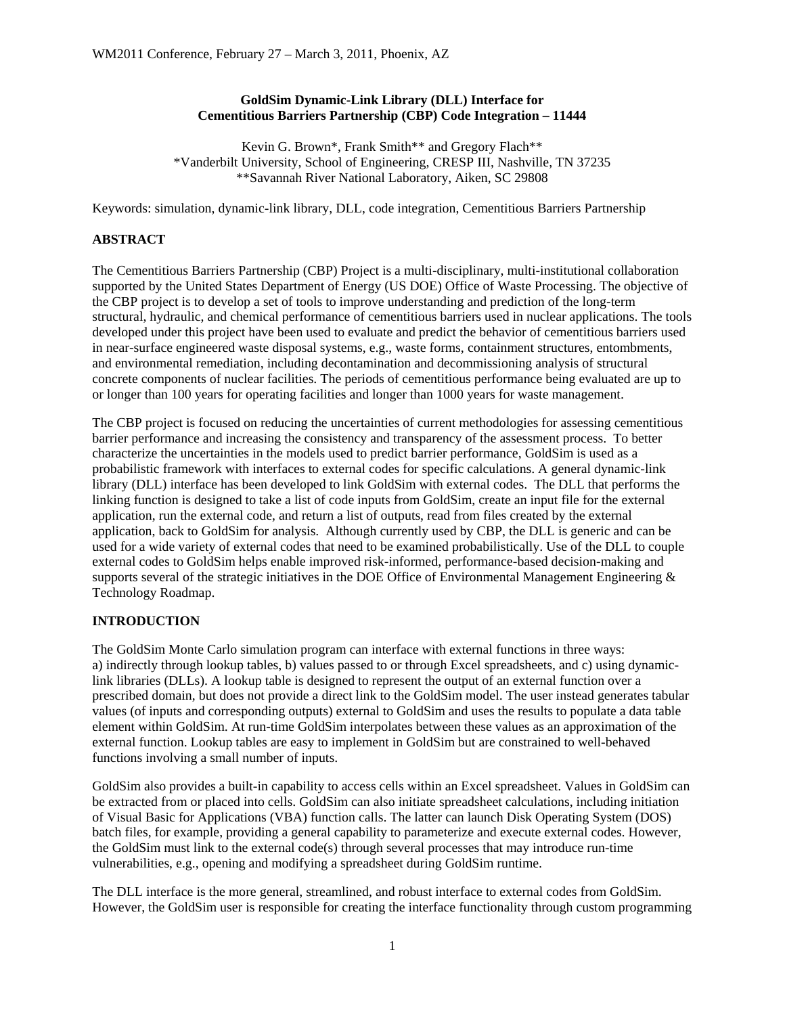### **GoldSim Dynamic-Link Library (DLL) Interface for Cementitious Barriers Partnership (CBP) Code Integration – 11444**

Kevin G. Brown\*, Frank Smith\*\* and Gregory Flach\*\* \*Vanderbilt University, School of Engineering, CRESP III, Nashville, TN 37235 \*\*Savannah River National Laboratory, Aiken, SC 29808

Keywords: simulation, dynamic-link library, DLL, code integration, Cementitious Barriers Partnership

## **ABSTRACT**

The Cementitious Barriers Partnership (CBP) Project is a multi-disciplinary, multi-institutional collaboration supported by the United States Department of Energy (US DOE) Office of Waste Processing. The objective of the CBP project is to develop a set of tools to improve understanding and prediction of the long-term structural, hydraulic, and chemical performance of cementitious barriers used in nuclear applications. The tools developed under this project have been used to evaluate and predict the behavior of cementitious barriers used in near-surface engineered waste disposal systems, e.g., waste forms, containment structures, entombments, and environmental remediation, including decontamination and decommissioning analysis of structural concrete components of nuclear facilities. The periods of cementitious performance being evaluated are up to or longer than 100 years for operating facilities and longer than 1000 years for waste management.

The CBP project is focused on reducing the uncertainties of current methodologies for assessing cementitious barrier performance and increasing the consistency and transparency of the assessment process. To better characterize the uncertainties in the models used to predict barrier performance, GoldSim is used as a probabilistic framework with interfaces to external codes for specific calculations. A general dynamic-link library (DLL) interface has been developed to link GoldSim with external codes. The DLL that performs the linking function is designed to take a list of code inputs from GoldSim, create an input file for the external application, run the external code, and return a list of outputs, read from files created by the external application, back to GoldSim for analysis. Although currently used by CBP, the DLL is generic and can be used for a wide variety of external codes that need to be examined probabilistically. Use of the DLL to couple external codes to GoldSim helps enable improved risk-informed, performance-based decision-making and supports several of the strategic initiatives in the DOE Office of Environmental Management Engineering & Technology Roadmap.

## **INTRODUCTION**

The GoldSim Monte Carlo simulation program can interface with external functions in three ways: a) indirectly through lookup tables, b) values passed to or through Excel spreadsheets, and c) using dynamiclink libraries (DLLs). A lookup table is designed to represent the output of an external function over a prescribed domain, but does not provide a direct link to the GoldSim model. The user instead generates tabular values (of inputs and corresponding outputs) external to GoldSim and uses the results to populate a data table element within GoldSim. At run-time GoldSim interpolates between these values as an approximation of the external function. Lookup tables are easy to implement in GoldSim but are constrained to well-behaved functions involving a small number of inputs.

GoldSim also provides a built-in capability to access cells within an Excel spreadsheet. Values in GoldSim can be extracted from or placed into cells. GoldSim can also initiate spreadsheet calculations, including initiation of Visual Basic for Applications (VBA) function calls. The latter can launch Disk Operating System (DOS) batch files, for example, providing a general capability to parameterize and execute external codes. However, the GoldSim must link to the external code(s) through several processes that may introduce run-time vulnerabilities, e.g., opening and modifying a spreadsheet during GoldSim runtime.

The DLL interface is the more general, streamlined, and robust interface to external codes from GoldSim. However, the GoldSim user is responsible for creating the interface functionality through custom programming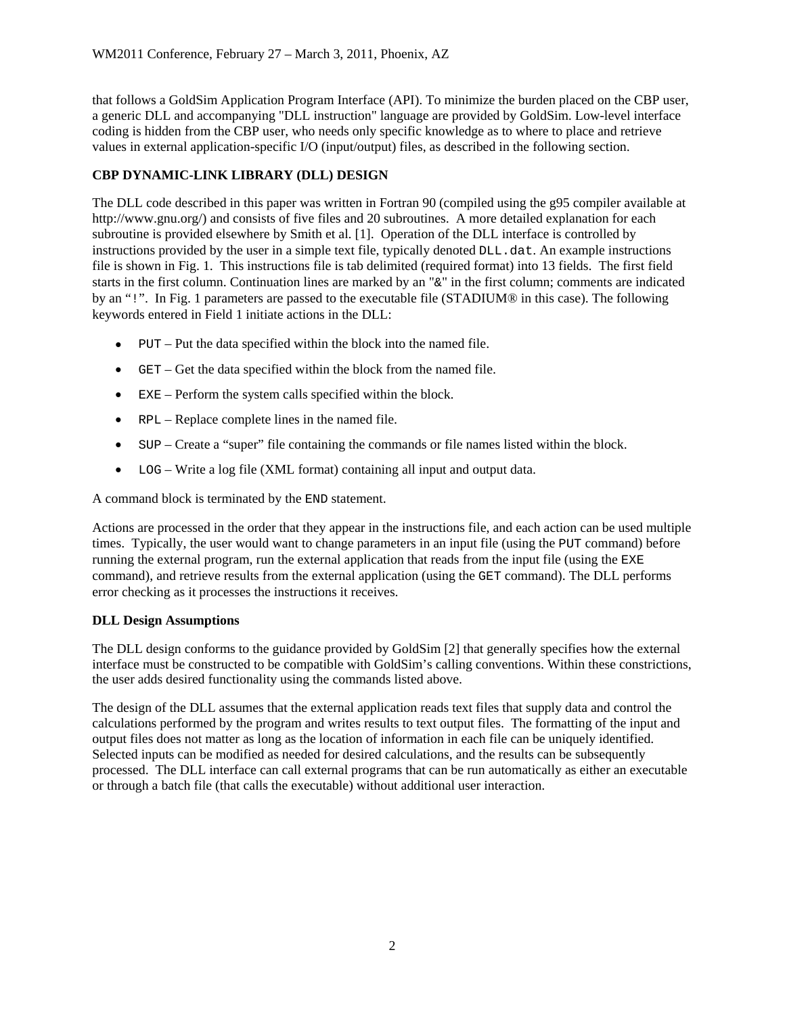that follows a GoldSim Application Program Interface (API). To minimize the burden placed on the CBP user, a generic DLL and accompanying "DLL instruction" language are provided by GoldSim. Low-level interface coding is hidden from the CBP user, who needs only specific knowledge as to where to place and retrieve values in external application-specific I/O (input/output) files, as described in the following section.

# **CBP DYNAMIC-LINK LIBRARY (DLL) DESIGN**

The DLL code described in this paper was written in Fortran 90 (compiled using the g95 compiler available at http://www.gnu.org/) and consists of five files and 20 subroutines. A more detailed explanation for each subroutine is provided elsewhere by Smith et al. [1]. Operation of the DLL interface is controlled by instructions provided by the user in a simple text file, typically denoted DLL.dat. An example instructions file is shown in Fig. 1. This instructions file is tab delimited (required format) into 13 fields. The first field starts in the first column. Continuation lines are marked by an "&" in the first column; comments are indicated by an "!". In Fig. 1 parameters are passed to the executable file (STADIUM® in this case). The following keywords entered in Field 1 initiate actions in the DLL:

- $\bullet$  PUT Put the data specified within the block into the named file.
- GET Get the data specified within the block from the named file.
- EXE Perform the system calls specified within the block.
- RPL Replace complete lines in the named file.
- SUP Create a "super" file containing the commands or file names listed within the block.
- LOG Write a log file (XML format) containing all input and output data.

A command block is terminated by the END statement.

Actions are processed in the order that they appear in the instructions file, and each action can be used multiple times. Typically, the user would want to change parameters in an input file (using the PUT command) before running the external program, run the external application that reads from the input file (using the EXE command), and retrieve results from the external application (using the GET command). The DLL performs error checking as it processes the instructions it receives.

## **DLL Design Assumptions**

The DLL design conforms to the guidance provided by GoldSim [2] that generally specifies how the external interface must be constructed to be compatible with GoldSim's calling conventions. Within these constrictions, the user adds desired functionality using the commands listed above.

The design of the DLL assumes that the external application reads text files that supply data and control the calculations performed by the program and writes results to text output files. The formatting of the input and output files does not matter as long as the location of information in each file can be uniquely identified. Selected inputs can be modified as needed for desired calculations, and the results can be subsequently processed. The DLL interface can call external programs that can be run automatically as either an executable or through a batch file (that calls the executable) without additional user interaction.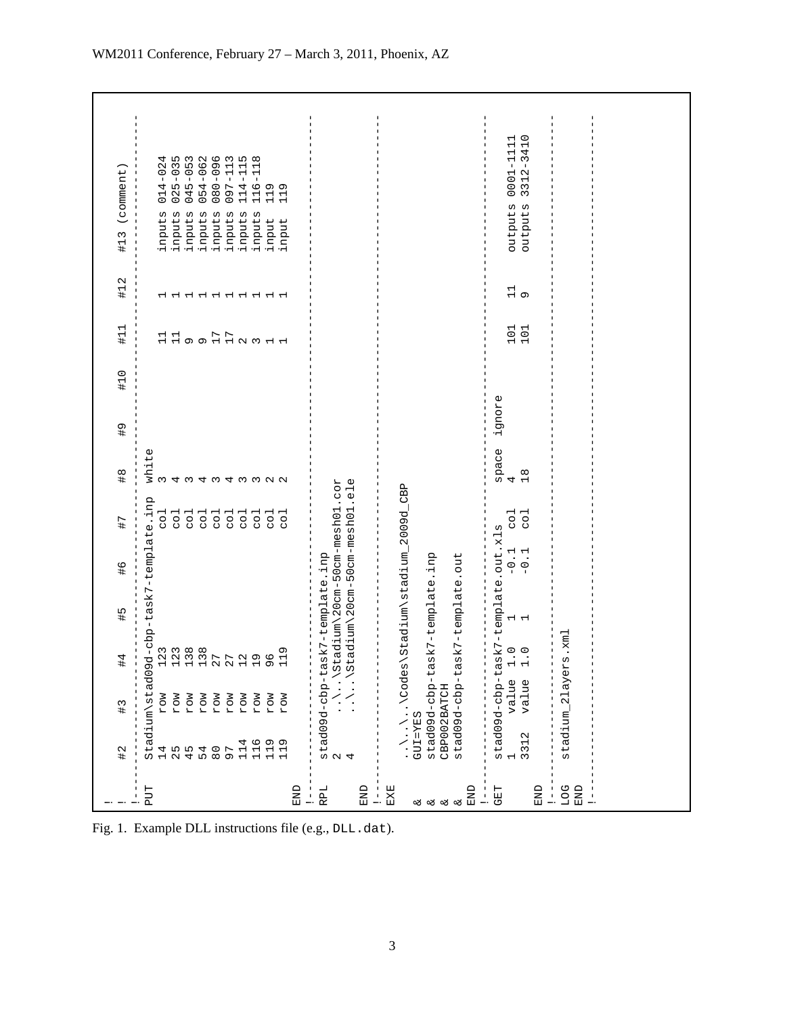|                                                                  | $\overline{1}$                                             | $\frac{1}{4}$                                                                                                                                                                                                  | #4                                                  | $\frac{1}{4}$                                                                 | $\frac{9}{4}$    | #7                                                                                                                                                               | $\frac{8}{1}$                             | $\frac{6}{4}$ | #10 | $\pm 11$         | #12           | (comment)<br>#13                                                                                                                                                                                                                                   |
|------------------------------------------------------------------|------------------------------------------------------------|----------------------------------------------------------------------------------------------------------------------------------------------------------------------------------------------------------------|-----------------------------------------------------|-------------------------------------------------------------------------------|------------------|------------------------------------------------------------------------------------------------------------------------------------------------------------------|-------------------------------------------|---------------|-----|------------------|---------------|----------------------------------------------------------------------------------------------------------------------------------------------------------------------------------------------------------------------------------------------------|
| PUT<br>RPL<br>END<br>END<br>$\overline{-}$                       | 114<br>116<br>119<br>119<br>1 2 4 5 6 9 7<br>4 5 5 4 5 6 7 | stad09d-cbp-task7-template.inp<br>2 \\Stadium\20cm-50cm-4<br>4<br>Stadium\stad09<br>MOJ<br>MOJ<br>MOJ<br>MOJ<br>MOJ<br>MOJ<br>MOJ<br>MOJ<br>MOJ<br>MOJ                                                         | $\ldots$ \Stadium\20cm-50cm-mesh01<br>$\frac{9}{1}$ | tadium\20cm-50cm-mesh01.cor<br>d-cbp-task7-template.inp                       |                  | ele.<br>$\overline{c}$<br>co1<br>$\overline{c}$<br>$\overline{c}$<br>$\frac{1}{\sqrt{2}}$<br>$\overline{c}$<br>$\overline{c}$<br>$\overline{c}$<br>co1<br>5<br>S | white<br>4343322<br>$m \nightharpoonup m$ |               |     | HH o D D N M H H |               | 025-035<br>045-053<br>054-062<br>080-096<br>097-113<br>114-115<br>4<br>118<br>$\overline{0}$<br>$116 -$<br>$119$<br>$119$<br>4<br>$\overline{C}$<br>inputs<br>inputs<br>inputs<br>inputs<br>inputs<br>inputs<br>inputs<br>inputs<br>input<br>input |
| EED<br>EXE<br>END<br>END<br>İ.<br>$\frac{1}{2}$<br>لا لا لا<br>ಚ | 2<br>$\frac{1}{3}$ 31:                                     | $\ldots \backslash \ldots \backslash \text{Codes} \backslash \text{Stadium} \backslash \text{stadium\_2009d\_}$ GUI=YES<br>stad09d-cbp-ta<br>stad09d-cbp-ta<br>stad09d-cbp-ta<br>value<br>value<br>CBP002BATCH | $\begin{array}{c} 0 \\ 1 \end{array}$               | sk7-template.out.xl<br>sk7-template.inp<br>sk7-template.out<br>$\overline{a}$ | $-0.1$<br>$-0.1$ | CBP<br>$\overline{c}$<br>$\overline{c}$<br>W                                                                                                                     | space<br>$\frac{4}{18}$                   | ignore        |     | 101<br>101       | $\frac{1}{1}$ | $-1111$<br>$-3410$<br>$0001 - 1111$<br>$3312 - 3410$<br>outputs<br>outputs                                                                                                                                                                         |
| <b>DOT</b><br>END<br>Ţ.                                          |                                                            | stadium_2layer                                                                                                                                                                                                 | $\text{Lmx} \cdot \text{s}$ .                       |                                                                               |                  |                                                                                                                                                                  |                                           |               |     |                  |               |                                                                                                                                                                                                                                                    |

Fig. 1. Example DLL instructions file (e.g., DLL.dat).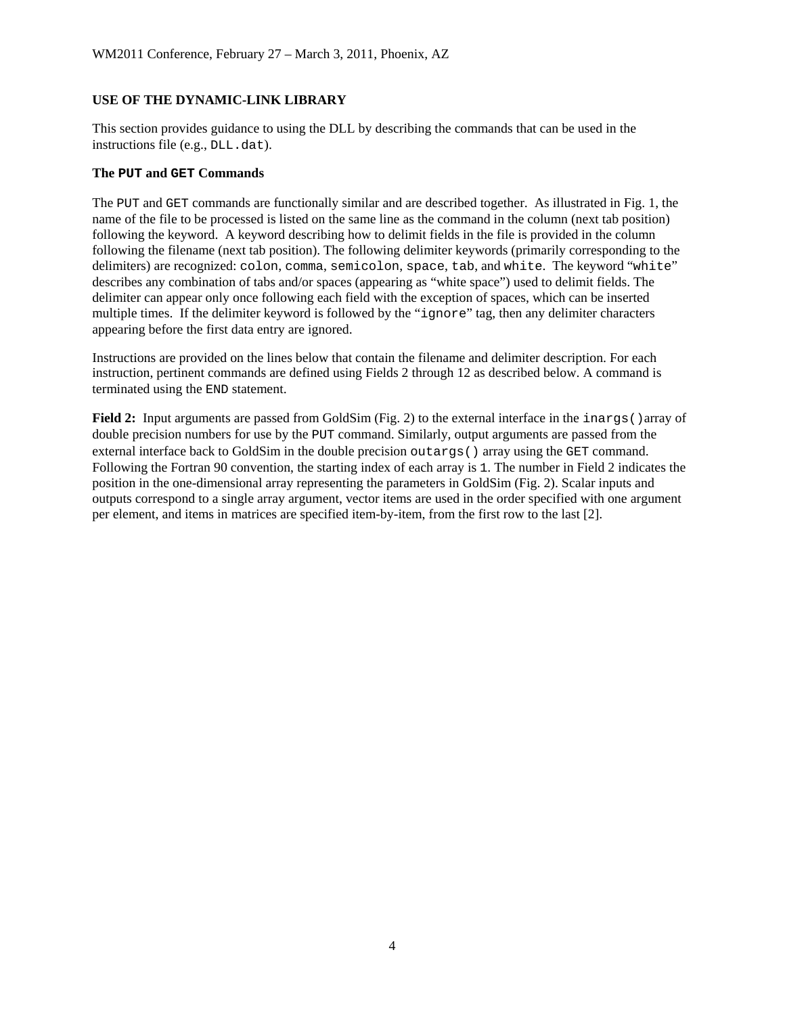## **USE OF THE DYNAMIC-LINK LIBRARY**

This section provides guidance to using the DLL by describing the commands that can be used in the instructions file (e.g., DLL.dat).

### **The PUT and GET Commands**

The PUT and GET commands are functionally similar and are described together. As illustrated in Fig. 1, the name of the file to be processed is listed on the same line as the command in the column (next tab position) following the keyword. A keyword describing how to delimit fields in the file is provided in the column following the filename (next tab position). The following delimiter keywords (primarily corresponding to the delimiters) are recognized: colon, comma, semicolon, space, tab, and white. The keyword "white" describes any combination of tabs and/or spaces (appearing as "white space") used to delimit fields. The delimiter can appear only once following each field with the exception of spaces, which can be inserted multiple times. If the delimiter keyword is followed by the "ignore" tag, then any delimiter characters appearing before the first data entry are ignored.

Instructions are provided on the lines below that contain the filename and delimiter description. For each instruction, pertinent commands are defined using Fields 2 through 12 as described below. A command is terminated using the END statement.

**Field 2:** Input arguments are passed from GoldSim (Fig. 2) to the external interface in the inargs () array of double precision numbers for use by the PUT command. Similarly, output arguments are passed from the external interface back to GoldSim in the double precision outargs() array using the GET command. Following the Fortran 90 convention, the starting index of each array is 1. The number in Field 2 indicates the position in the one-dimensional array representing the parameters in GoldSim (Fig. 2). Scalar inputs and outputs correspond to a single array argument, vector items are used in the order specified with one argument per element, and items in matrices are specified item-by-item, from the first row to the last [2].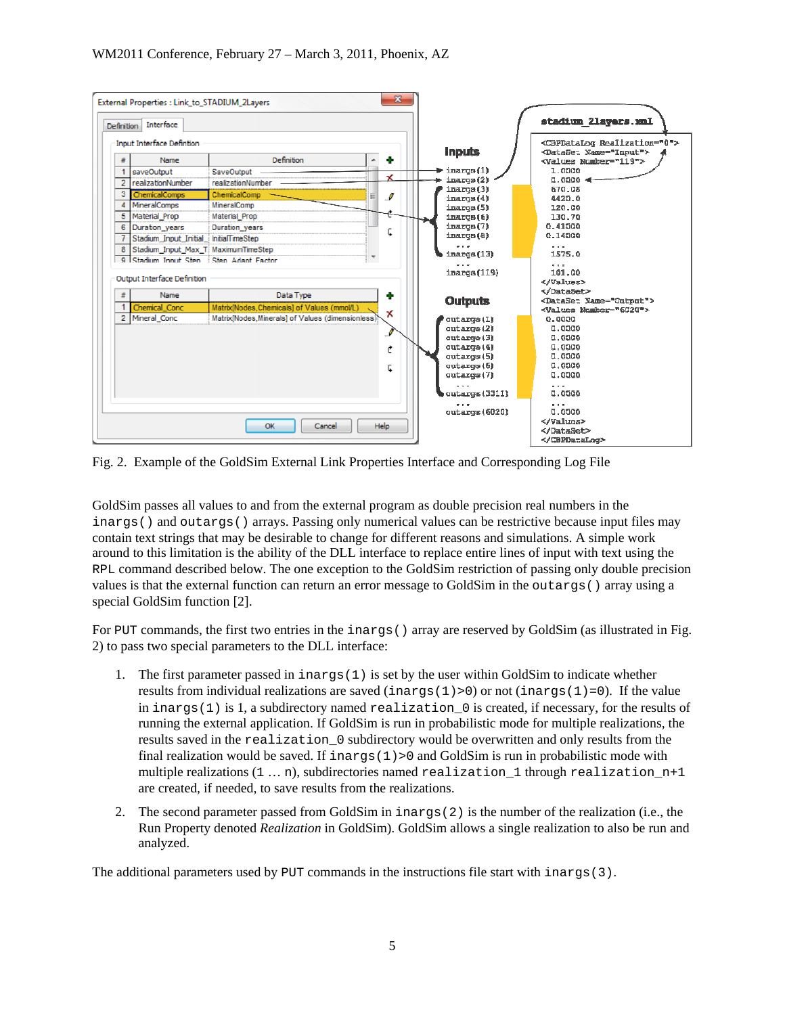

Fig. 2. Example of the GoldSim External Link Properties Interface and Corresponding Log File

GoldSim passes all values to and from the external program as double precision real numbers in the inargs() and outargs() arrays. Passing only numerical values can be restrictive because input files may contain text strings that may be desirable to change for different reasons and simulations. A simple work around to this limitation is the ability of the DLL interface to replace entire lines of input with text using the RPL command described below. The one exception to the GoldSim restriction of passing only double precision values is that the external function can return an error message to GoldSim in the outargs() array using a special GoldSim function [2].

For PUT commands, the first two entries in the inargs () array are reserved by GoldSim (as illustrated in Fig. 2) to pass two special parameters to the DLL interface:

- 1. The first parameter passed in inargs(1) is set by the user within GoldSim to indicate whether results from individual realizations are saved (inargs(1)>0) or not (inargs(1)=0). If the value in inargs(1) is 1, a subdirectory named realization  $\theta$  is created, if necessary, for the results of running the external application. If GoldSim is run in probabilistic mode for multiple realizations, the results saved in the realization\_0 subdirectory would be overwritten and only results from the final realization would be saved. If  $i$ nargs $(1)$  > 0 and GoldSim is run in probabilistic mode with multiple realizations  $(1 \ldots n)$ , subdirectories named realization 1 through realization  $n+1$ are created, if needed, to save results from the realizations.
- 2. The second parameter passed from GoldSim in inargs(2) is the number of the realization (i.e., the Run Property denoted *Realization* in GoldSim). GoldSim allows a single realization to also be run and analyzed.

The additional parameters used by PUT commands in the instructions file start with inargs (3).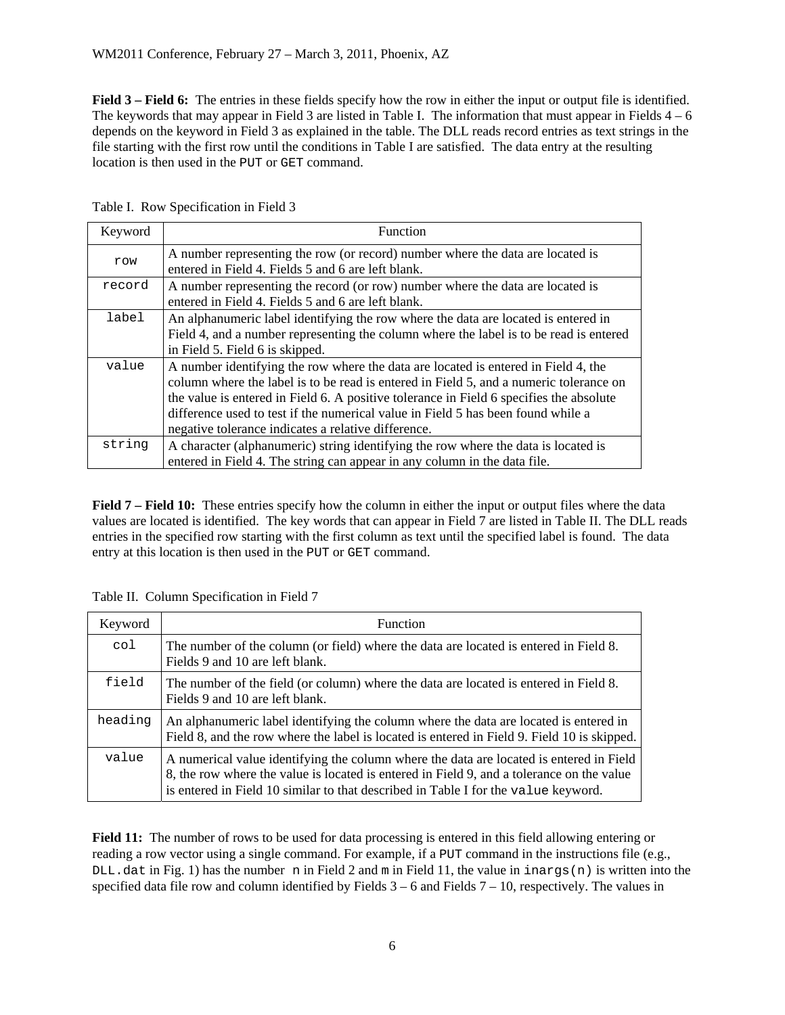**Field 3** – **Field 6:** The entries in these fields specify how the row in either the input or output file is identified. The keywords that may appear in Field 3 are listed in Table I. The information that must appear in Fields  $4 - 6$ depends on the keyword in Field 3 as explained in the table. The DLL reads record entries as text strings in the file starting with the first row until the conditions in Table I are satisfied. The data entry at the resulting location is then used in the PUT or GET command.

| Keyword | <b>Function</b>                                                                                                                                                                                                                                                                                                                                                                                                    |
|---------|--------------------------------------------------------------------------------------------------------------------------------------------------------------------------------------------------------------------------------------------------------------------------------------------------------------------------------------------------------------------------------------------------------------------|
| row     | A number representing the row (or record) number where the data are located is<br>entered in Field 4. Fields 5 and 6 are left blank.                                                                                                                                                                                                                                                                               |
| record  | A number representing the record (or row) number where the data are located is<br>entered in Field 4. Fields 5 and 6 are left blank.                                                                                                                                                                                                                                                                               |
| label   | An alphanumeric label identifying the row where the data are located is entered in<br>Field 4, and a number representing the column where the label is to be read is entered<br>in Field 5. Field 6 is skipped.                                                                                                                                                                                                    |
| value   | A number identifying the row where the data are located is entered in Field 4, the<br>column where the label is to be read is entered in Field 5, and a numeric tolerance on<br>the value is entered in Field 6. A positive tolerance in Field 6 specifies the absolute<br>difference used to test if the numerical value in Field 5 has been found while a<br>negative tolerance indicates a relative difference. |
| string  | A character (alphanumeric) string identifying the row where the data is located is<br>entered in Field 4. The string can appear in any column in the data file.                                                                                                                                                                                                                                                    |

Table I. Row Specification in Field 3

**Field 7 – Field 10:** These entries specify how the column in either the input or output files where the data values are located is identified. The key words that can appear in Field 7 are listed in Table II. The DLL reads entries in the specified row starting with the first column as text until the specified label is found. The data entry at this location is then used in the PUT or GET command.

|  | Table II. Column Specification in Field 7 |  |
|--|-------------------------------------------|--|
|  |                                           |  |

| Keyword | <b>Function</b>                                                                                                                                                                                                                                                            |
|---------|----------------------------------------------------------------------------------------------------------------------------------------------------------------------------------------------------------------------------------------------------------------------------|
| col     | The number of the column (or field) where the data are located is entered in Field 8.<br>Fields 9 and 10 are left blank.                                                                                                                                                   |
| field   | The number of the field (or column) where the data are located is entered in Field 8.<br>Fields 9 and 10 are left blank.                                                                                                                                                   |
| heading | An alphanumeric label identifying the column where the data are located is entered in<br>Field 8, and the row where the label is located is entered in Field 9. Field 10 is skipped.                                                                                       |
| value   | A numerical value identifying the column where the data are located is entered in Field<br>8, the row where the value is located is entered in Field 9, and a tolerance on the value<br>is entered in Field 10 similar to that described in Table I for the value keyword. |

**Field 11:** The number of rows to be used for data processing is entered in this field allowing entering or reading a row vector using a single command. For example, if a PUT command in the instructions file (e.g.,  $DL \cdot$  dat in Fig. 1) has the number n in Field 2 and m in Field 11, the value in inargs(n) is written into the specified data file row and column identified by Fields  $3 - 6$  and Fields  $7 - 10$ , respectively. The values in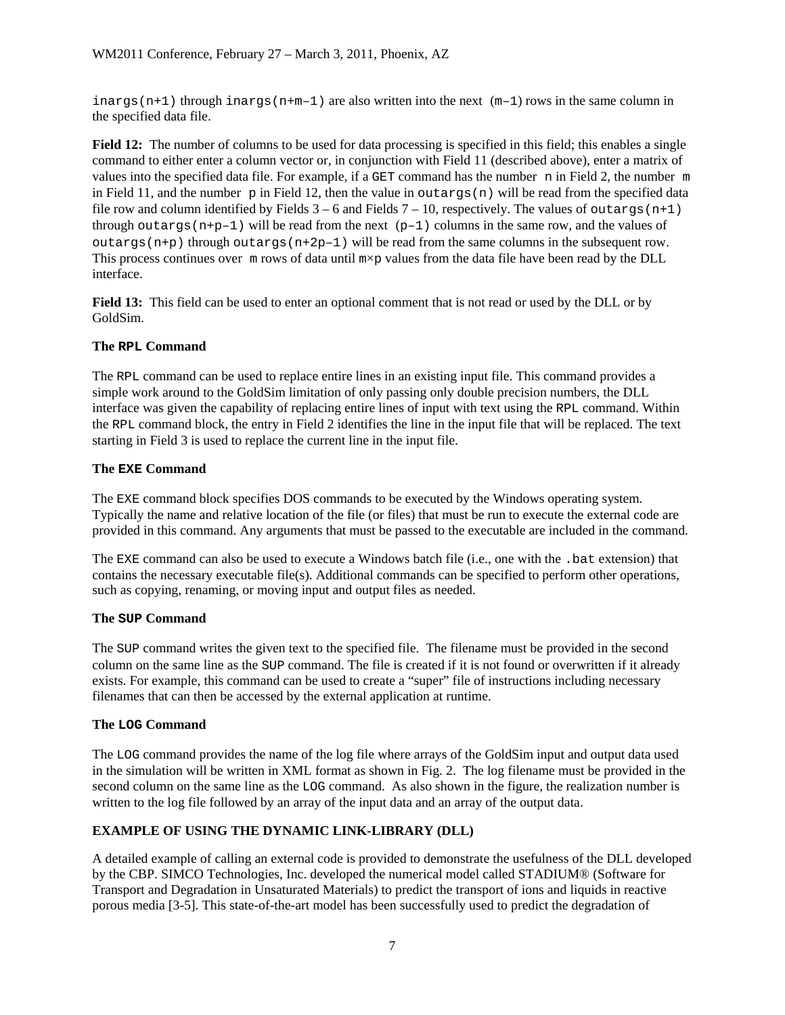inargs (n+1) through inargs (n+m-1) are also written into the next  $(m-1)$  rows in the same column in the specified data file.

**Field 12:** The number of columns to be used for data processing is specified in this field; this enables a single command to either enter a column vector or, in conjunction with Field 11 (described above), enter a matrix of values into the specified data file. For example, if a GET command has the number n in Field 2, the number m in Field 11, and the number p in Field 12, then the value in outargs  $(n)$  will be read from the specified data file row and column identified by Fields  $3 - 6$  and Fields  $7 - 10$ , respectively. The values of outargs (n+1) through outargs ( $n+p-1$ ) will be read from the next ( $p-1$ ) columns in the same row, and the values of outargs  $(n+p)$  through outargs  $(n+2p-1)$  will be read from the same columns in the subsequent row. This process continues over  $m$  rows of data until  $m \times p$  values from the data file have been read by the DLL interface.

**Field 13:** This field can be used to enter an optional comment that is not read or used by the DLL or by GoldSim.

### **The RPL Command**

The RPL command can be used to replace entire lines in an existing input file. This command provides a simple work around to the GoldSim limitation of only passing only double precision numbers, the DLL interface was given the capability of replacing entire lines of input with text using the RPL command. Within the RPL command block, the entry in Field 2 identifies the line in the input file that will be replaced. The text starting in Field 3 is used to replace the current line in the input file.

### **The EXE Command**

The EXE command block specifies DOS commands to be executed by the Windows operating system. Typically the name and relative location of the file (or files) that must be run to execute the external code are provided in this command. Any arguments that must be passed to the executable are included in the command.

The EXE command can also be used to execute a Windows batch file (i.e., one with the .bat extension) that contains the necessary executable file(s). Additional commands can be specified to perform other operations, such as copying, renaming, or moving input and output files as needed.

#### **The SUP Command**

The SUP command writes the given text to the specified file. The filename must be provided in the second column on the same line as the SUP command. The file is created if it is not found or overwritten if it already exists. For example, this command can be used to create a "super" file of instructions including necessary filenames that can then be accessed by the external application at runtime.

#### **The LOG Command**

The LOG command provides the name of the log file where arrays of the GoldSim input and output data used in the simulation will be written in XML format as shown in Fig. 2. The log filename must be provided in the second column on the same line as the LOG command. As also shown in the figure, the realization number is written to the log file followed by an array of the input data and an array of the output data.

## **EXAMPLE OF USING THE DYNAMIC LINK-LIBRARY (DLL)**

A detailed example of calling an external code is provided to demonstrate the usefulness of the DLL developed by the CBP. SIMCO Technologies, Inc. developed the numerical model called STADIUM® (Software for Transport and Degradation in Unsaturated Materials) to predict the transport of ions and liquids in reactive porous media [3-5]. This state-of-the-art model has been successfully used to predict the degradation of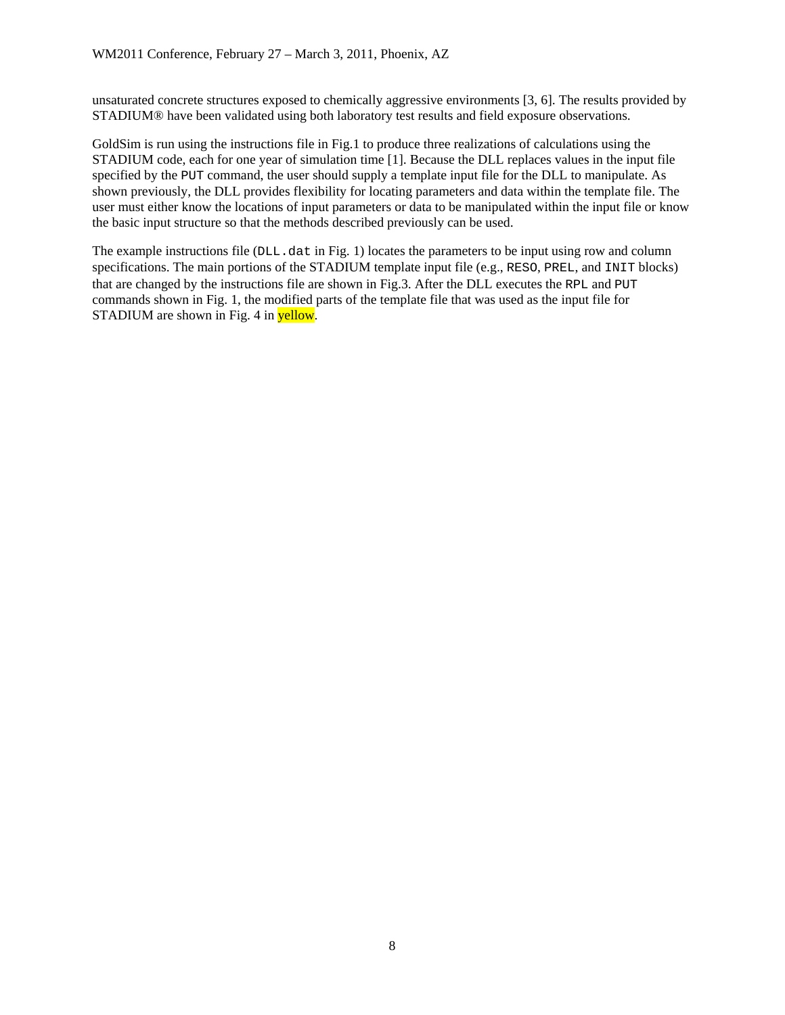unsaturated concrete structures exposed to chemically aggressive environments [3, 6]. The results provided by STADIUM® have been validated using both laboratory test results and field exposure observations.

GoldSim is run using the instructions file in Fig.1 to produce three realizations of calculations using the STADIUM code, each for one year of simulation time [1]. Because the DLL replaces values in the input file specified by the PUT command, the user should supply a template input file for the DLL to manipulate. As shown previously, the DLL provides flexibility for locating parameters and data within the template file. The user must either know the locations of input parameters or data to be manipulated within the input file or know the basic input structure so that the methods described previously can be used.

The example instructions file  $(DLL. \text{dat in Fig. 1})$  locates the parameters to be input using row and column specifications. The main portions of the STADIUM template input file (e.g., RESO, PREL, and INIT blocks) that are changed by the instructions file are shown in Fig.3. After the DLL executes the RPL and PUT commands shown in Fig. 1, the modified parts of the template file that was used as the input file for STADIUM are shown in Fig. 4 in yellow.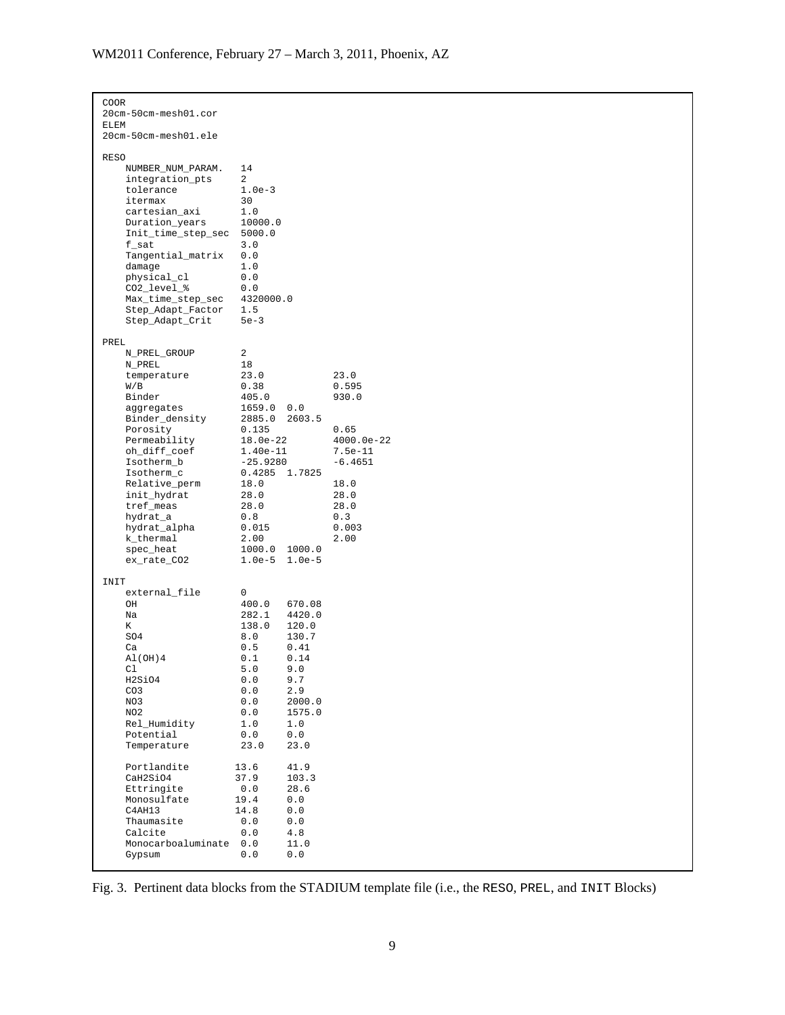| COOR<br>20cm-50cm-mesh01.cor<br><b>ELEM</b>                                                                                                                                                                                                                                              |                                                                                                                                                                                            |                                                                                                                                                          |                                                                                                                      |
|------------------------------------------------------------------------------------------------------------------------------------------------------------------------------------------------------------------------------------------------------------------------------------------|--------------------------------------------------------------------------------------------------------------------------------------------------------------------------------------------|----------------------------------------------------------------------------------------------------------------------------------------------------------|----------------------------------------------------------------------------------------------------------------------|
| 20cm-50cm-mesh01.ele                                                                                                                                                                                                                                                                     |                                                                                                                                                                                            |                                                                                                                                                          |                                                                                                                      |
| <b>RESO</b><br>NUMBER_NUM_PARAM.<br>integration_pts<br>tolerance<br>itermax<br>cartesian_axi<br>Duration_years<br>Init_time_step_sec<br>f_sat<br>Tangential_matrix<br>damage<br>physical_cl<br>CO2_level_%<br>Max_time_step_sec<br>Step_Adapt_Factor<br>Step_Adapt_Crit                  | 14<br>2<br>$1.0e-3$<br>30<br>1.0<br>10000.0<br>5000.0<br>3.0<br>0.0<br>1.0<br>0.0<br>0.0<br>4320000.0<br>1.5<br>$5e-3$                                                                     |                                                                                                                                                          |                                                                                                                      |
| PREL<br>N_PREL_GROUP<br>N_PREL<br>temperature<br>W/B<br>Binder<br>aggregates<br>Binder_density<br>Porosity<br>Permeability<br>oh_diff_coef<br>Isotherm_b<br>Isotherm_c<br>Relative_perm<br>init_hydrat<br>tref_meas<br>hydrat_a<br>hydrat_alpha<br>k_thermal<br>spec_heat<br>ex_rate_CO2 | 2<br>18<br>23.0<br>0.38<br>405.0<br>1659.0<br>2885.0<br>0.135<br>18.0e-22<br>1.40e-11<br>$-25.9280$<br>0.4285 1.7825<br>18.0<br>28.0<br>28.0<br>0.8<br>0.015<br>2.00<br>1000.0<br>$1.0e-5$ | 0.0<br>2603.5<br>1000.0<br>$1.0e-5$                                                                                                                      | 23.0<br>0.595<br>930.0<br>0.65<br>4000.0e-22<br>7.5e-11<br>$-6.4651$<br>18.0<br>28.0<br>28.0<br>0.3<br>0.003<br>2.00 |
| INIT<br>external_file<br>OН<br>Na<br>Κ<br>SO4<br>Ca<br>A1(OH)4<br>Cl<br>H2SiO4<br>CO <sub>3</sub><br>NO3<br>NO <sub>2</sub><br>Rel_Humidity<br>Potential<br>Temperature<br>Portlandite<br>CaH2SiO4<br>Ettringite<br>Monosulfate<br>C4AH13                                                | 0<br>400.0<br>282.1<br>138.0<br>8.0<br>0.5<br>0.1<br>5.0<br>0.0<br>0.0<br>0.0<br>${\bf 0}$ . ${\bf 0}$<br>1.0<br>0.0<br>23.0<br>13.6<br>37.9<br>0.0<br>19.4<br>14.8                        | 670.08<br>4420.0<br>120.0<br>130.7<br>0.41<br>0.14<br>9.0<br>9.7<br>2.9<br>2000.0<br>1575.0<br>1.0<br>0.0<br>23.0<br>41.9<br>103.3<br>28.6<br>0.0<br>0.0 |                                                                                                                      |
| Thaumasite<br>Calcite<br>Monocarboaluminate<br>Gypsum                                                                                                                                                                                                                                    | 0.0<br>0.0<br>0.0<br>0.0                                                                                                                                                                   | 0.0<br>4.8<br>11.0<br>0.0                                                                                                                                |                                                                                                                      |

Fig. 3. Pertinent data blocks from the STADIUM template file (i.e., the RESO, PREL, and INIT Blocks)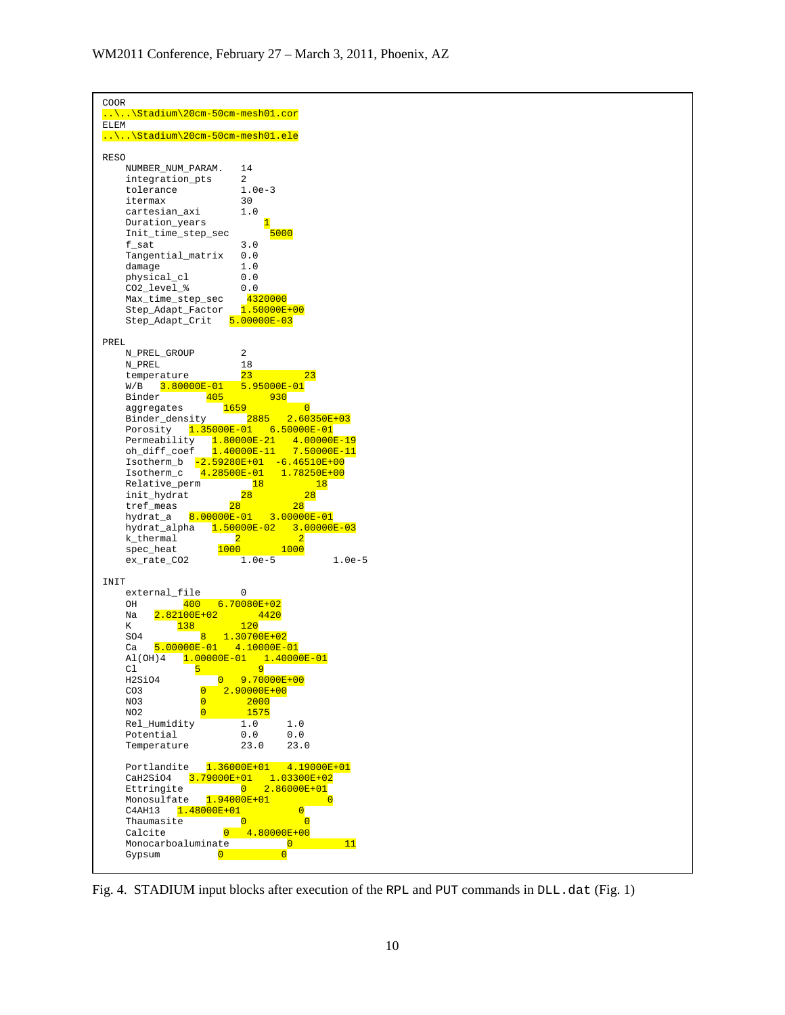

Fig. 4. STADIUM input blocks after execution of the RPL and PUT commands in  $DLL$ . dat (Fig. 1)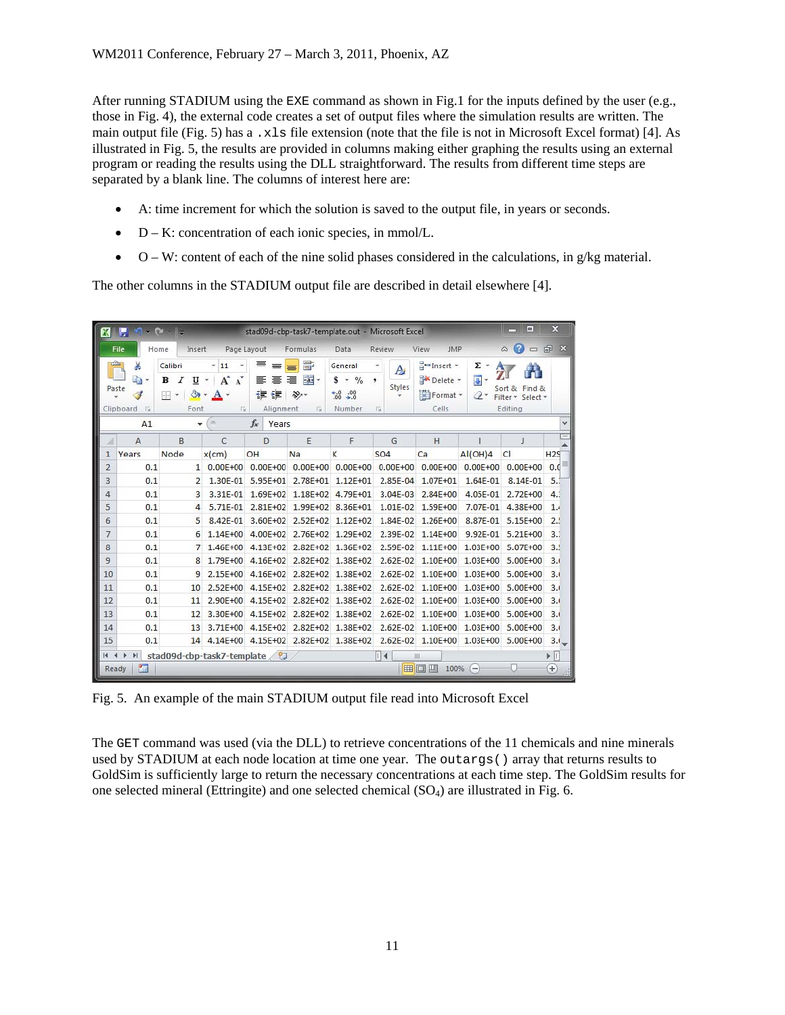After running STADIUM using the EXE command as shown in Fig.1 for the inputs defined by the user (e.g., those in Fig. 4), the external code creates a set of output files where the simulation results are written. The main output file (Fig. 5) has a .xls file extension (note that the file is not in Microsoft Excel format) [4]. As illustrated in Fig. 5, the results are provided in columns making either graphing the results using an external program or reading the results using the DLL straightforward. The results from different time steps are separated by a blank line. The columns of interest here are:

- A: time increment for which the solution is saved to the output file, in years or seconds.
- $D K$ : concentration of each ionic species, in mmol/L.
- $O W$ : content of each of the nine solid phases considered in the calculations, in  $g/kg$  material.

The other columns in the STADIUM output file are described in detail elsewhere [4].

|                 | $\mathbf x$<br>$\blacksquare$<br>$9 - 2 = 1$<br><b>XIE</b><br>stad09d-cbp-task7-template.out - Microsoft Excel |                                           |                                                                                       |                                            |                                                                  |                                                                       |                            |                                                                |                            |                                               |                       |
|-----------------|----------------------------------------------------------------------------------------------------------------|-------------------------------------------|---------------------------------------------------------------------------------------|--------------------------------------------|------------------------------------------------------------------|-----------------------------------------------------------------------|----------------------------|----------------------------------------------------------------|----------------------------|-----------------------------------------------|-----------------------|
|                 | Home<br>File                                                                                                   | Insert                                    |                                                                                       | Page Layout                                | Formulas                                                         | Data                                                                  | Review                     | View<br><b>JMP</b>                                             |                            | C<br>۵                                        | □ 記 ×                 |
|                 | Ж<br>la ∗<br>Paste<br>Clipboard<br>$\overline{u}$                                                              | Calibri<br>в<br>Ι<br>U<br>ு<br>BB<br>Font | $-11$<br>$\mathbf{A}^{\!\star}$<br>$\mathbf{A}^{\mathbf{A}}$<br>×<br>$A \cdot$<br>Fa. | ≡<br>$=$<br>目<br>套<br>ŧΞ<br>証<br>Alignment | 暈<br>≡<br>$-3+$<br>国<br>$\mathcal{D}_{2}$<br>$\overline{\omega}$ | General<br>\$<br>$-9/6$<br>$^{+.0}_{.00}$<br>$^{+00}_{-00}$<br>Number | A<br>٠<br>Styles<br>۳<br>瑙 | $\frac{1}{2}$ a Insert $\sim$<br>Delete *<br>Format *<br>Cells | Σ -<br>国土<br>$\mathcal{Q}$ | Sort & Find &<br>Filter * Select *<br>Editing |                       |
|                 | A1                                                                                                             | $\blacktriangledown$                      | ×                                                                                     | $f_x$<br>Years                             |                                                                  |                                                                       |                            |                                                                |                            |                                               | v                     |
|                 | $\overline{A}$                                                                                                 | B                                         | C                                                                                     | $\mathbf{D}$                               | F                                                                | F                                                                     | G                          | H                                                              |                            | J                                             |                       |
| 1               | Years                                                                                                          | Node                                      | $x$ (cm)                                                                              | OH                                         | Na                                                               | K                                                                     | SO <sub>4</sub>            | Ca                                                             | AI(OH)4                    | Cl                                            | H2S                   |
| $\overline{2}$  | 0.1                                                                                                            |                                           | 1 0.00E+00                                                                            | $0.00E + 00$                               | $0.00E + 00$                                                     | $0.00E + 00$                                                          | $0.00E + 00$               | $0.00E + 00$                                                   | $0.00E + 00$               | $0.00E + 00$                                  | 0.0                   |
| 3               | 0.1                                                                                                            | $\overline{2}$                            | 1.30E-01                                                                              | 5.95E+01                                   | 2.78E+01                                                         | 1.12E+01                                                              | 2.85E-04                   | 1.07E+01                                                       | 1.64E-01                   | 8.14E-01                                      | 5.3                   |
| 4               | 0.1                                                                                                            | 3                                         | 3.31E-01                                                                              | 1.69E+02                                   | $1.18E + 02$                                                     | 4.79E+01                                                              | $3.04E - 03$               | $2.84E + 00$                                                   | 4.05E-01                   | $2.72E + 00$                                  | 4.1                   |
| 5               | 0.1                                                                                                            | 4                                         | 5.71E-01                                                                              | $2.81E + 02$                               | $1.99E + 02$                                                     | 8.36E+01                                                              | $1.01E-02$                 | 1.59E+00                                                       | 7.07E-01                   | 4.38E+00                                      | 1.4                   |
| 6               | 0.1                                                                                                            | 5                                         | 8.42E-01                                                                              | 3.60E+02                                   | $2.52E + 02$                                                     | $1.12E + 02$                                                          | 1.84E-02                   | $1,26E+00$                                                     | 8.87E-01                   | 5.15E+00                                      | 2.1                   |
| 7               | 0.1                                                                                                            | 6                                         | 1.14E+00                                                                              | 4.00E+02                                   | 2.76E+02                                                         | 1.29E+02                                                              | 2.39E-02                   | $1.14E + 00$                                                   | 9.92E-01                   | $5.21E + 00$                                  | 3.1                   |
| 8               | 0.1                                                                                                            | 7                                         | 1.46E+00                                                                              | 4.13E+02                                   | $2.82E + 02$                                                     | 1.36E+02                                                              | 2.59E-02                   | $1.11E + 00$                                                   | 1.03E+00                   | 5.07E+00                                      | 3.5                   |
| 9               | 0.1                                                                                                            | 8                                         | 1.79E+00                                                                              | $4.16F + 02$                               | $2.82E + 02$                                                     | 1.38E+02                                                              | $2.62E - 02$               | 1.10E+00                                                       | $1.03E + 00$               | 5.00E+00                                      | 3.1                   |
| 10              | 0.1                                                                                                            | 9                                         | 2.15E+00                                                                              | $4.16E + 02$                               | $2.82E + 02$                                                     | 1.38E+02                                                              | $2.62E - 02$               | 1.10E+00                                                       | 1,03E+00                   | 5.00E+00                                      | 3.1                   |
| 11              | 0.1                                                                                                            | 10                                        | 2.52E+00                                                                              | 4.15E+02                                   | 2.82E+02                                                         | 1.38E+02                                                              | $2.62E - 02$               | 1.10E+00                                                       | $1.03E + 00$               | 5.00E+00                                      | 3.1                   |
| 12              | 0.1                                                                                                            | 11                                        | 2.90E+00                                                                              | 4.15E+02                                   | 2.82E+02                                                         | 1.38E+02                                                              | $2.62E - 02$               | 1.10E+00                                                       | 1.03E+00                   | 5.00E+00                                      | 3.1                   |
| 13              | 0.1                                                                                                            | 12                                        | 3.30E+00                                                                              | 4.15E+02                                   | $2.82E + 02$                                                     | 1.38E+02                                                              | $2.62E - 02$               | 1.10E+00                                                       | $1.03E + 00$               | 5.00E+00                                      | 3.1                   |
| 14              | 0.1                                                                                                            | 13                                        | 3.71E+00                                                                              | 4.15E+02                                   | $2.82E + 02$                                                     | 1.38E+02                                                              | $2.62E - 02$               | 1,10E+00                                                       | $1.03E + 00$               | 5.00E+00                                      | 3.1                   |
| 15              | 0.1                                                                                                            | 14                                        | 4.14E+00                                                                              | 4.15E+02                                   |                                                                  | 2.82E+02 1.38E+02                                                     | $2.62E - 02$               |                                                                | 1.10E+00 1.03E+00          | 5.00E+00                                      | $3.1 -$               |
| $\overline{14}$ | $\blacktriangleright$                                                                                          | stad09d-cbp-task7-template                |                                                                                       | - 17                                       |                                                                  |                                                                       | $\Box$                     | Ш                                                              |                            |                                               | $\blacktriangleright$ |
|                 | P.<br>Ready                                                                                                    |                                           |                                                                                       |                                            |                                                                  |                                                                       |                            | ■■四四<br>100%                                                   | $\overline{}$              |                                               | Œ                     |

Fig. 5. An example of the main STADIUM output file read into Microsoft Excel

The GET command was used (via the DLL) to retrieve concentrations of the 11 chemicals and nine minerals used by STADIUM at each node location at time one year. The outargs() array that returns results to GoldSim is sufficiently large to return the necessary concentrations at each time step. The GoldSim results for one selected mineral (Ettringite) and one selected chemical  $(SO<sub>4</sub>)$  are illustrated in Fig. 6.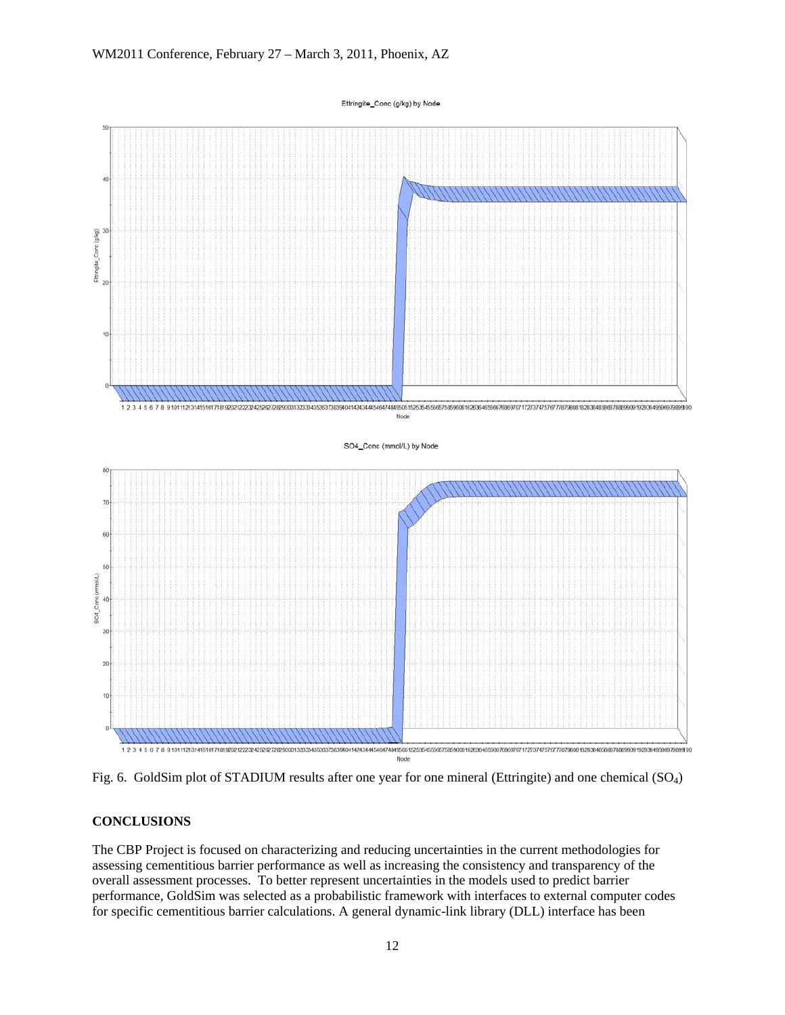Ettringite\_Conc (g/kg) by Node



Fig. 6. GoldSim plot of STADIUM results after one year for one mineral (Ettringite) and one chemical (SO4)

## **CONCLUSIONS**

The CBP Project is focused on characterizing and reducing uncertainties in the current methodologies for assessing cementitious barrier performance as well as increasing the consistency and transparency of the overall assessment processes. To better represent uncertainties in the models used to predict barrier performance, GoldSim was selected as a probabilistic framework with interfaces to external computer codes for specific cementitious barrier calculations. A general dynamic-link library (DLL) interface has been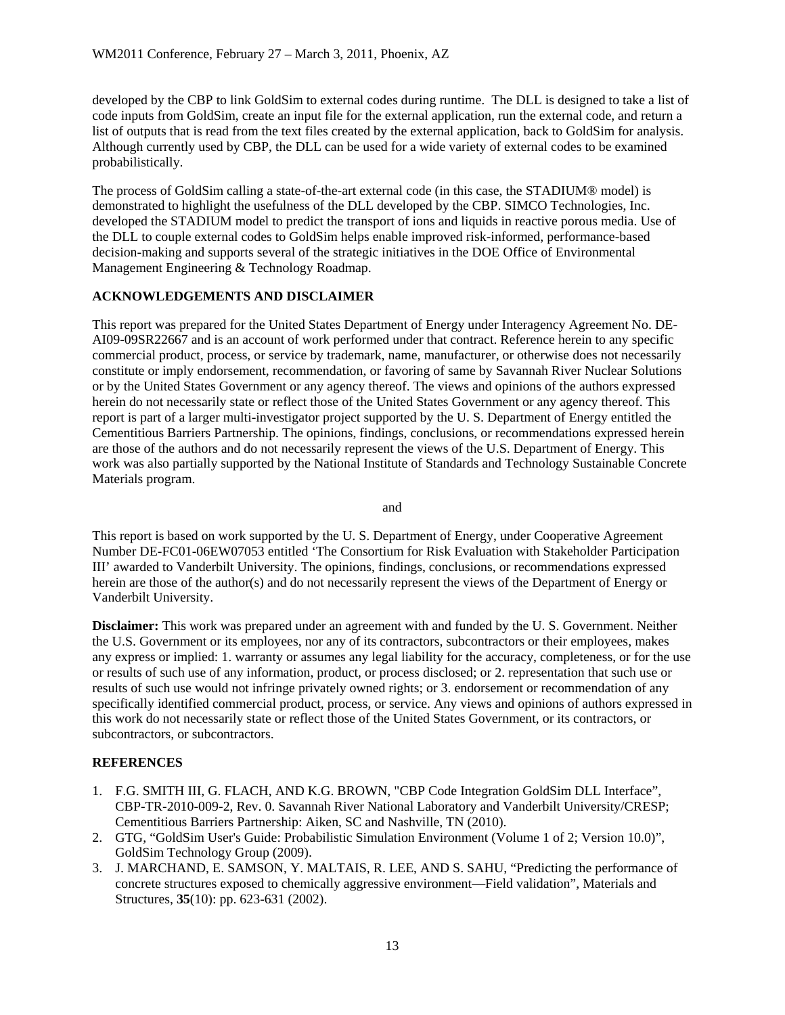developed by the CBP to link GoldSim to external codes during runtime. The DLL is designed to take a list of code inputs from GoldSim, create an input file for the external application, run the external code, and return a list of outputs that is read from the text files created by the external application, back to GoldSim for analysis. Although currently used by CBP, the DLL can be used for a wide variety of external codes to be examined probabilistically.

The process of GoldSim calling a state-of-the-art external code (in this case, the STADIUM® model) is demonstrated to highlight the usefulness of the DLL developed by the CBP. SIMCO Technologies, Inc. developed the STADIUM model to predict the transport of ions and liquids in reactive porous media. Use of the DLL to couple external codes to GoldSim helps enable improved risk-informed, performance-based decision-making and supports several of the strategic initiatives in the DOE Office of Environmental Management Engineering & Technology Roadmap.

# **ACKNOWLEDGEMENTS AND DISCLAIMER**

This report was prepared for the United States Department of Energy under Interagency Agreement No. DE-AI09-09SR22667 and is an account of work performed under that contract. Reference herein to any specific commercial product, process, or service by trademark, name, manufacturer, or otherwise does not necessarily constitute or imply endorsement, recommendation, or favoring of same by Savannah River Nuclear Solutions or by the United States Government or any agency thereof. The views and opinions of the authors expressed herein do not necessarily state or reflect those of the United States Government or any agency thereof. This report is part of a larger multi-investigator project supported by the U. S. Department of Energy entitled the Cementitious Barriers Partnership. The opinions, findings, conclusions, or recommendations expressed herein are those of the authors and do not necessarily represent the views of the U.S. Department of Energy. This work was also partially supported by the National Institute of Standards and Technology Sustainable Concrete Materials program.

and

This report is based on work supported by the U. S. Department of Energy, under Cooperative Agreement Number DE-FC01-06EW07053 entitled 'The Consortium for Risk Evaluation with Stakeholder Participation III' awarded to Vanderbilt University. The opinions, findings, conclusions, or recommendations expressed herein are those of the author(s) and do not necessarily represent the views of the Department of Energy or Vanderbilt University.

**Disclaimer:** This work was prepared under an agreement with and funded by the U.S. Government. Neither the U.S. Government or its employees, nor any of its contractors, subcontractors or their employees, makes any express or implied: 1. warranty or assumes any legal liability for the accuracy, completeness, or for the use or results of such use of any information, product, or process disclosed; or 2. representation that such use or results of such use would not infringe privately owned rights; or 3. endorsement or recommendation of any specifically identified commercial product, process, or service. Any views and opinions of authors expressed in this work do not necessarily state or reflect those of the United States Government, or its contractors, or subcontractors, or subcontractors.

# **REFERENCES**

- 1. F.G. SMITH III, G. FLACH, AND K.G. BROWN, "CBP Code Integration GoldSim DLL Interface", CBP-TR-2010-009-2, Rev. 0. Savannah River National Laboratory and Vanderbilt University/CRESP; Cementitious Barriers Partnership: Aiken, SC and Nashville, TN (2010).
- 2. GTG, "GoldSim User's Guide: Probabilistic Simulation Environment (Volume 1 of 2; Version 10.0)", GoldSim Technology Group (2009).
- 3. J. MARCHAND, E. SAMSON, Y. MALTAIS, R. LEE, AND S. SAHU, "Predicting the performance of concrete structures exposed to chemically aggressive environment—Field validation", Materials and Structures, **35**(10): pp. 623-631 (2002).